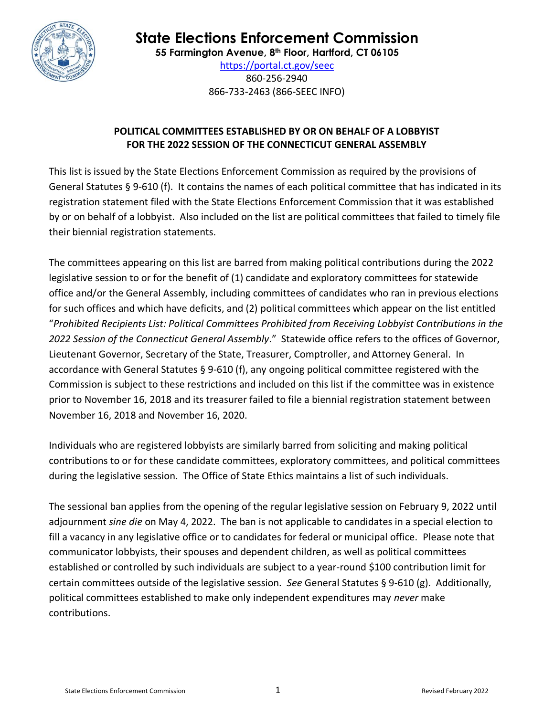

# **State Elections Enforcement Commission**

**55 Farmington Avenue, 8 th Floor, Hartford, CT 06105**

<https://portal.ct.gov/seec> 860-256-2940 866-733-2463 (866-SEEC INFO)

# **POLITICAL COMMITTEES ESTABLISHED BY OR ON BEHALF OF A LOBBYIST FOR THE 2022 SESSION OF THE CONNECTICUT GENERAL ASSEMBLY**

This list is issued by the State Elections Enforcement Commission as required by the provisions of General Statutes § 9-610 (f). It contains the names of each political committee that has indicated in its registration statement filed with the State Elections Enforcement Commission that it was established by or on behalf of a lobbyist. Also included on the list are political committees that failed to timely file their biennial registration statements.

The committees appearing on this list are barred from making political contributions during the 2022 legislative session to or for the benefit of (1) candidate and exploratory committees for statewide office and/or the General Assembly, including committees of candidates who ran in previous elections for such offices and which have deficits, and (2) political committees which appear on the list entitled "*Prohibited Recipients List: Political Committees Prohibited from Receiving Lobbyist Contributions in the 2022 Session of the Connecticut General Assembly*." Statewide office refers to the offices of Governor, Lieutenant Governor, Secretary of the State, Treasurer, Comptroller, and Attorney General. In accordance with General Statutes § 9-610 (f), any ongoing political committee registered with the Commission is subject to these restrictions and included on this list if the committee was in existence prior to November 16, 2018 and its treasurer failed to file a biennial registration statement between November 16, 2018 and November 16, 2020.

Individuals who are registered lobbyists are similarly barred from soliciting and making political contributions to or for these candidate committees, exploratory committees, and political committees during the legislative session. The Office of State Ethics maintains a list of such individuals.

The sessional ban applies from the opening of the regular legislative session on February 9, 2022 until adjournment *sine die* on May 4, 2022.The ban is not applicable to candidates in a special election to fill a vacancy in any legislative office or to candidates for federal or municipal office. Please note that communicator lobbyists, their spouses and dependent children, as well as political committees established or controlled by such individuals are subject to a year-round \$100 contribution limit for certain committees outside of the legislative session. *See* General Statutes § 9-610 (g). Additionally, political committees established to make only independent expenditures may *never* make contributions.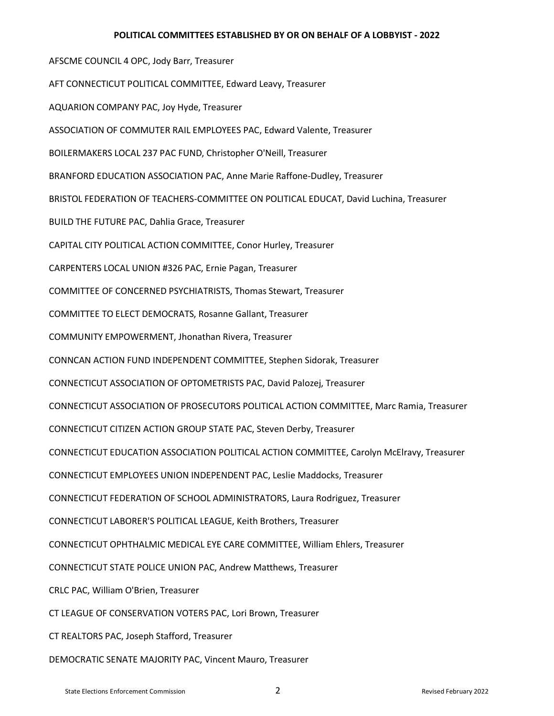#### **POLITICAL COMMITTEES ESTABLISHED BY OR ON BEHALF OF A LOBBYIST - 2022**

AFSCME COUNCIL 4 OPC, Jody Barr, Treasurer AFT CONNECTICUT POLITICAL COMMITTEE, Edward Leavy, Treasurer AQUARION COMPANY PAC, Joy Hyde, Treasurer ASSOCIATION OF COMMUTER RAIL EMPLOYEES PAC, Edward Valente, Treasurer BOILERMAKERS LOCAL 237 PAC FUND, Christopher O'Neill, Treasurer BRANFORD EDUCATION ASSOCIATION PAC, Anne Marie Raffone-Dudley, Treasurer BRISTOL FEDERATION OF TEACHERS-COMMITTEE ON POLITICAL EDUCAT, David Luchina, Treasurer BUILD THE FUTURE PAC, Dahlia Grace, Treasurer CAPITAL CITY POLITICAL ACTION COMMITTEE, Conor Hurley, Treasurer CARPENTERS LOCAL UNION #326 PAC, Ernie Pagan, Treasurer COMMITTEE OF CONCERNED PSYCHIATRISTS, Thomas Stewart, Treasurer COMMITTEE TO ELECT DEMOCRATS, Rosanne Gallant, Treasurer COMMUNITY EMPOWERMENT, Jhonathan Rivera, Treasurer CONNCAN ACTION FUND INDEPENDENT COMMITTEE, Stephen Sidorak, Treasurer CONNECTICUT ASSOCIATION OF OPTOMETRISTS PAC, David Palozej, Treasurer CONNECTICUT ASSOCIATION OF PROSECUTORS POLITICAL ACTION COMMITTEE, Marc Ramia, Treasurer CONNECTICUT CITIZEN ACTION GROUP STATE PAC, Steven Derby, Treasurer CONNECTICUT EDUCATION ASSOCIATION POLITICAL ACTION COMMITTEE, Carolyn McElravy, Treasurer CONNECTICUT EMPLOYEES UNION INDEPENDENT PAC, Leslie Maddocks, Treasurer CONNECTICUT FEDERATION OF SCHOOL ADMINISTRATORS, Laura Rodriguez, Treasurer CONNECTICUT LABORER'S POLITICAL LEAGUE, Keith Brothers, Treasurer CONNECTICUT OPHTHALMIC MEDICAL EYE CARE COMMITTEE, William Ehlers, Treasurer CONNECTICUT STATE POLICE UNION PAC, Andrew Matthews, Treasurer CRLC PAC, William O'Brien, Treasurer CT LEAGUE OF CONSERVATION VOTERS PAC, Lori Brown, Treasurer CT REALTORS PAC, Joseph Stafford, Treasurer DEMOCRATIC SENATE MAJORITY PAC, Vincent Mauro, Treasurer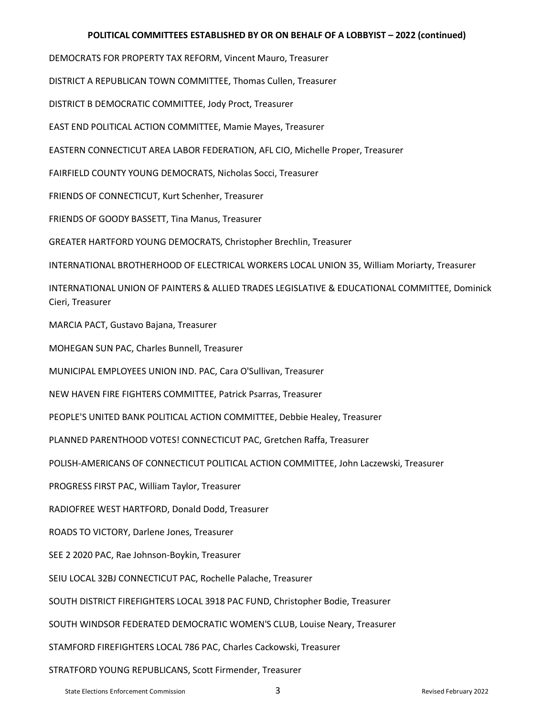## **POLITICAL COMMITTEES ESTABLISHED BY OR ON BEHALF OF A LOBBYIST – 2022 (continued)**

DEMOCRATS FOR PROPERTY TAX REFORM, Vincent Mauro, Treasurer

DISTRICT A REPUBLICAN TOWN COMMITTEE, Thomas Cullen, Treasurer

DISTRICT B DEMOCRATIC COMMITTEE, Jody Proct, Treasurer

EAST END POLITICAL ACTION COMMITTEE, Mamie Mayes, Treasurer

EASTERN CONNECTICUT AREA LABOR FEDERATION, AFL CIO, Michelle Proper, Treasurer

FAIRFIELD COUNTY YOUNG DEMOCRATS, Nicholas Socci, Treasurer

FRIENDS OF CONNECTICUT, Kurt Schenher, Treasurer

FRIENDS OF GOODY BASSETT, Tina Manus, Treasurer

GREATER HARTFORD YOUNG DEMOCRATS, Christopher Brechlin, Treasurer

INTERNATIONAL BROTHERHOOD OF ELECTRICAL WORKERS LOCAL UNION 35, William Moriarty, Treasurer

INTERNATIONAL UNION OF PAINTERS & ALLIED TRADES LEGISLATIVE & EDUCATIONAL COMMITTEE, Dominick Cieri, Treasurer

MARCIA PACT, Gustavo Bajana, Treasurer

MOHEGAN SUN PAC, Charles Bunnell, Treasurer

MUNICIPAL EMPLOYEES UNION IND. PAC, Cara O'Sullivan, Treasurer

NEW HAVEN FIRE FIGHTERS COMMITTEE, Patrick Psarras, Treasurer

PEOPLE'S UNITED BANK POLITICAL ACTION COMMITTEE, Debbie Healey, Treasurer

PLANNED PARENTHOOD VOTES! CONNECTICUT PAC, Gretchen Raffa, Treasurer

POLISH-AMERICANS OF CONNECTICUT POLITICAL ACTION COMMITTEE, John Laczewski, Treasurer

PROGRESS FIRST PAC, William Taylor, Treasurer

RADIOFREE WEST HARTFORD, Donald Dodd, Treasurer

ROADS TO VICTORY, Darlene Jones, Treasurer

SEE 2 2020 PAC, Rae Johnson-Boykin, Treasurer

SEIU LOCAL 32BJ CONNECTICUT PAC, Rochelle Palache, Treasurer

SOUTH DISTRICT FIREFIGHTERS LOCAL 3918 PAC FUND, Christopher Bodie, Treasurer

SOUTH WINDSOR FEDERATED DEMOCRATIC WOMEN'S CLUB, Louise Neary, Treasurer

STAMFORD FIREFIGHTERS LOCAL 786 PAC, Charles Cackowski, Treasurer

STRATFORD YOUNG REPUBLICANS, Scott Firmender, Treasurer